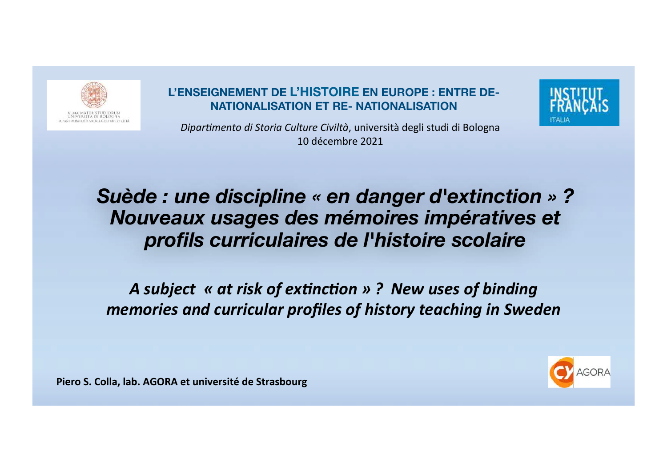

#### **L'ENSEIGNEMENT DE L'HISTOIRE EN EUROPE : ENTRE DE-NATIONALISATION ET RE- NATIONALISATION**



*Dipartimento di Storia Culture Civiltà*, università degli studi di Bologna 10 décembre 2021

*Suède : une discipline « en danger d'extinction » ? Nouveaux usages des mémoires impératives et profils curriculaires de l'histoire scolaire*

A subject « at risk of extinction » ? New uses of binding *memories and curricular profiles of history teaching in Sweden* 

Piero S. Colla, lab. AGORA et université de Strasbourg

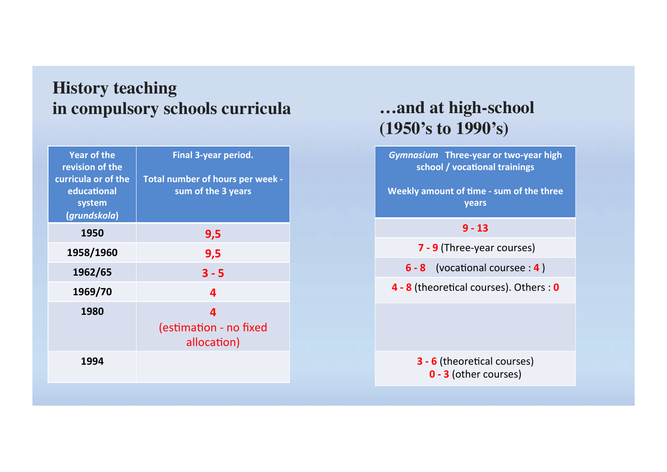## **History teaching in compulsory schools curricula**

| <b>Year of the</b><br>revision of the<br>curricula or of the<br>educational<br>system<br>(grundskola) | <b>Final 3-year period.</b><br>Total number of hours per week -<br>sum of the 3 years |
|-------------------------------------------------------------------------------------------------------|---------------------------------------------------------------------------------------|
| 1950                                                                                                  | 9,5                                                                                   |
| 1958/1960                                                                                             | 9,5                                                                                   |
| 1962/65                                                                                               | $3 - 5$                                                                               |
| 1969/70                                                                                               | 4                                                                                     |
| 1980                                                                                                  | 4<br>(estimation - no fixed<br>allocation)                                            |
| 1994                                                                                                  |                                                                                       |

### **…and at high-school (1950's to 1990's)**

*Gymnasium* Three-year or two-year high school / vocational trainings

**Weekly amount of time - sum of the three years**

#### **9 - 13**

**7 - 9** (Three-year courses)

**6** - **8** (vocational coursee : **4**)

**4 - 8** (theoretical courses). Others : 0

**3 - 6** (theoretical courses) **0 - 3** (other courses)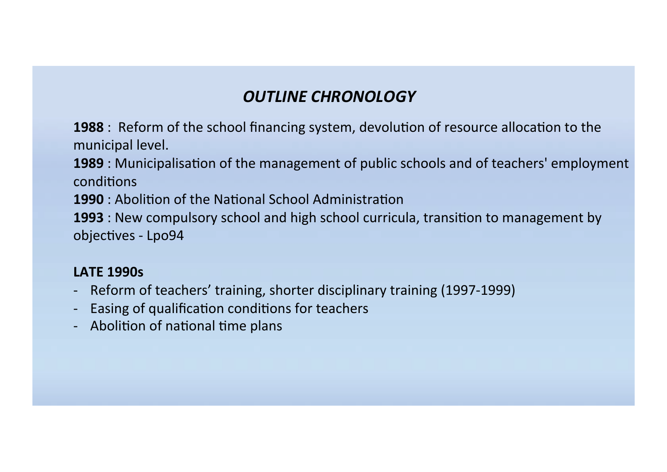### **OUTLINE CHRONOLOGY**

**1988**: Reform of the school financing system, devolution of resource allocation to the municipal level.

**1989** : Municipalisation of the management of public schools and of teachers' employment conditions

**1990**: Abolition of the National School Administration

**1993** : New compulsory school and high school curricula, transition to management by objectives - Lpo94

### **LATF 1990s**

- Reform of teachers' training, shorter disciplinary training (1997-1999)
- Easing of qualification conditions for teachers
- Abolition of national time plans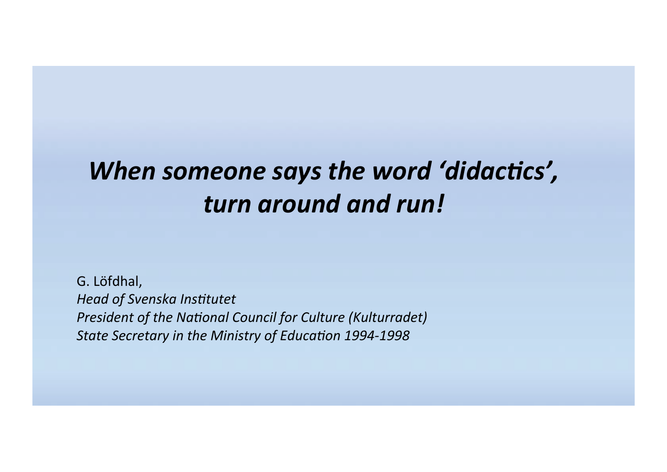# *When* someone says the word 'didactics', *turn around and run!*

G. Löfdhal, **Head of Svenska Institutet** *President of the National Council for Culture (Kulturradet)* State Secretary in the Ministry of Education 1994-1998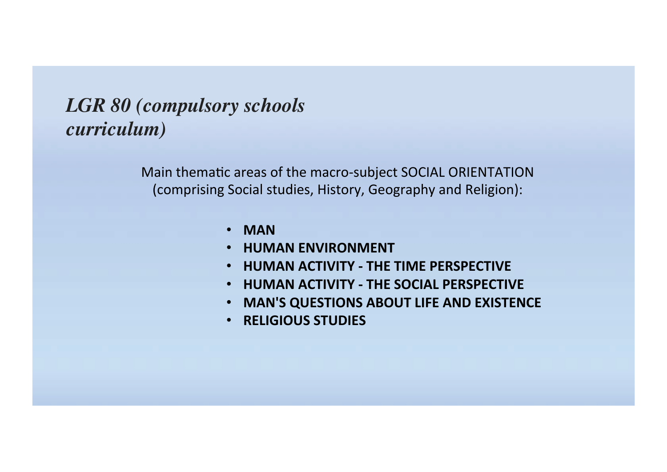# *LGR 80 (compulsory schools curriculum)*

Main thematic areas of the macro-subject SOCIAL ORIENTATION (comprising Social studies, History, Geography and Religion):

- **MAN**
- **HUMAN ENVIRONMENT**
- **HUMAN ACTIVITY THE TIME PERSPECTIVE**
- **HUMAN ACTIVITY THE SOCIAL PERSPECTIVE**
- **MAN'S QUESTIONS ABOUT LIFE AND EXISTENCE**
- **RELIGIOUS STUDIES**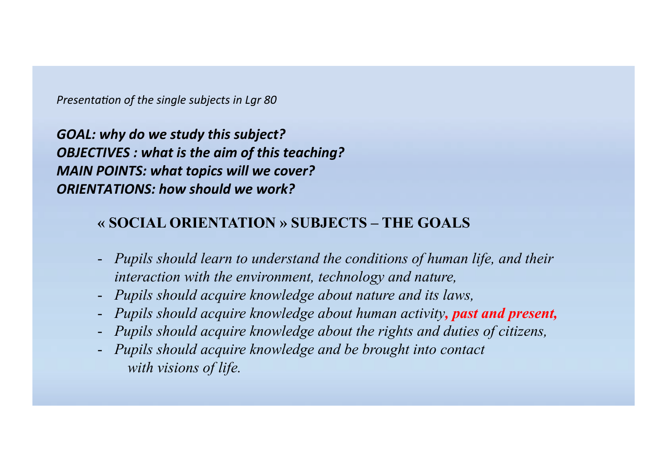*Presentation of the single subjects in Lar 80* 

*GOAL:* why do we study this subject? **OBJECTIVES** : what is the aim of this teaching? *MAIN POINTS: what topics will we cover? ORIENTATIONS: how should we work?* 

#### **« SOCIAL ORIENTATION » SUBJECTS – THE GOALS**

- *Pupils should learn to understand the conditions of human life, and their interaction with the environment, technology and nature,*
- *Pupils should acquire knowledge about nature and its laws,*
- *Pupils should acquire knowledge about human activity, past and present,*
- *Pupils should acquire knowledge about the rights and duties of citizens,*
- *Pupils should acquire knowledge and be brought into contact with visions of life.*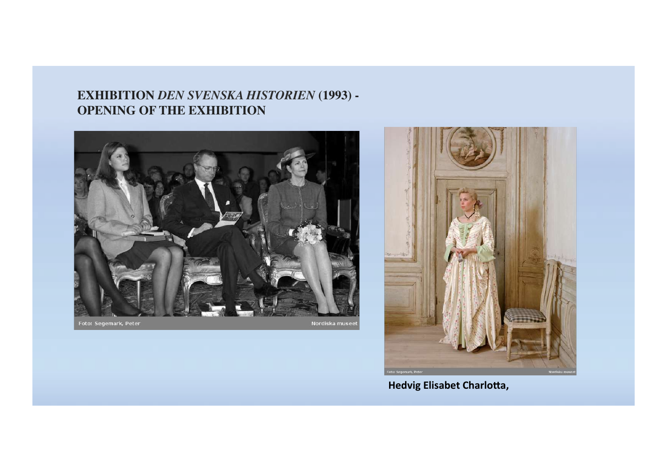#### **EXHIBITION** *DEN SVENSKA HISTORIEN* **(1993) - OPENING OF THE EXHIBITION**



Foto: Segemark, Peter

Nordiska museet



**Hedvig Elisabet Charlotta,**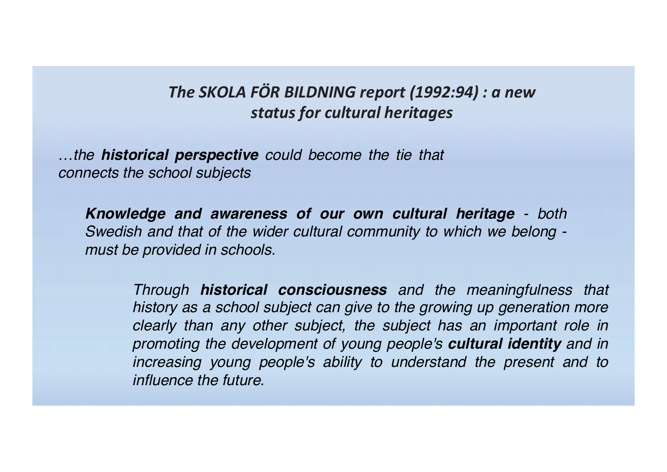### The SKOLA FÖR BILDNING report (1992:94) : a new *status for cultural heritages*

*…the historical perspective could become the tie that connects the school subjects*

*Knowledge and awareness of our own cultural heritage - both Swedish and that of the wider cultural community to which we belong must be provided in schools.* 

*Through historical consciousness and the meaningfulness that history as a school subject can give to the growing up generation more clearly than any other subject, the subject has an important role in promoting the development of young people's cultural identity and in increasing young people's ability to understand the present and to influence the future.*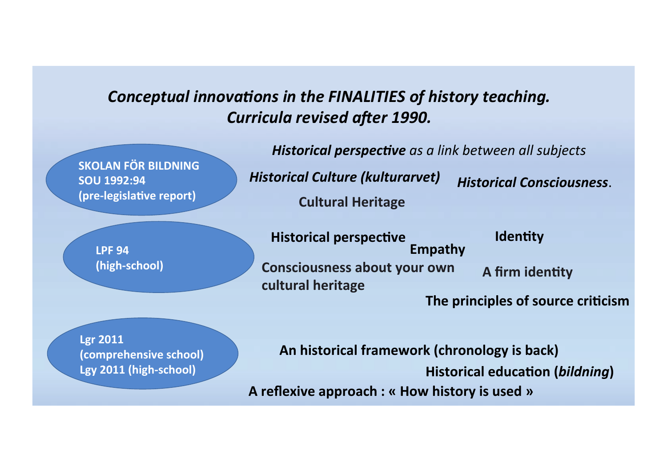### **Conceptual innovations in the FINALITIES of history** *teaching*. *Curricula revised after 1990.*

**SKOLAN FÖR BILDNING SOU 1992:94 (pre-legislative report)** 

> **LPF 94 (high-school)**

**Historical perspective** as a link between all subjects *Historical Culture (kulturarvet) Historical Consciousness*. **Cultural Heritage**

**Historical perspective Consciousness about your own** A firm identity **cultural heritage Empathy**

**Identity** 

The principles of source criticism

**Lgr 2011 (comprehensive school)**  Lgy 2011 (high-school)

**A reflexive approach : « How history is used » Historical education (bildning)** An historical framework (chronology is back)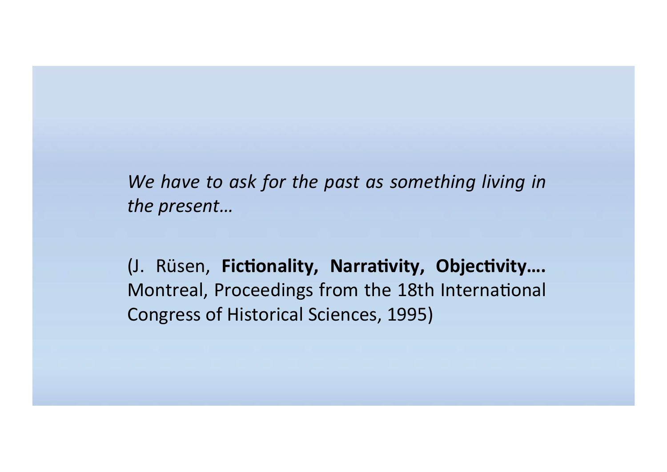We have to ask for the past as something living in the present...

(J. Rüsen, Fictionality, Narrativity, Objectivity.... Montreal, Proceedings from the 18th International Congress of Historical Sciences, 1995)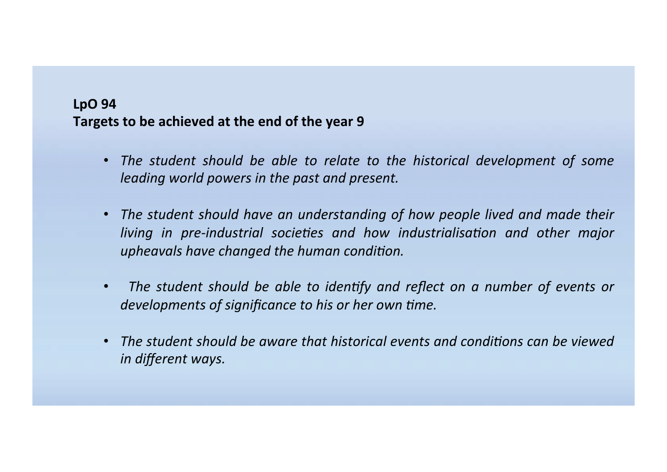#### **LpO** 94 Targets to be achieved at the end of the year 9

- *The student should be able to relate to the historical development of some leading* world powers in the past and present.
- The student should have an understanding of how people lived and made their *living in pre-industrial societies and how industrialisation and other major* upheavals have changed the human condition.
- The student should be able to *identify* and reflect on a number of events or *developments of significance to his or her own time.*
- *The student should be aware that historical events and conditions can be viewed in different ways.*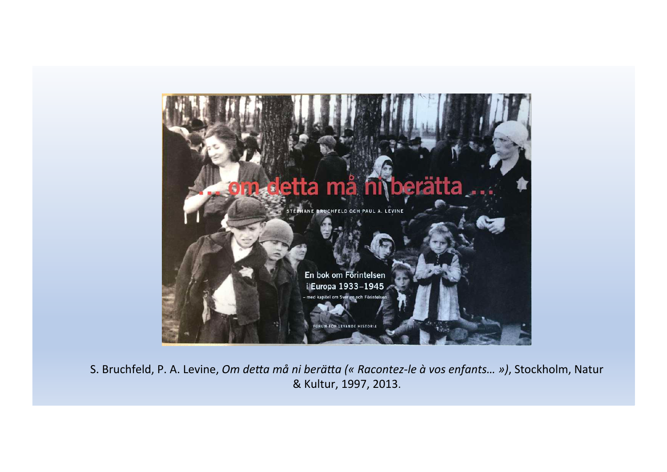

S. Bruchfeld, P. A. Levine, Om detta må ni berätta (« Racontez-le à vos enfants... »), Stockholm, Natur & Kultur, 1997, 2013.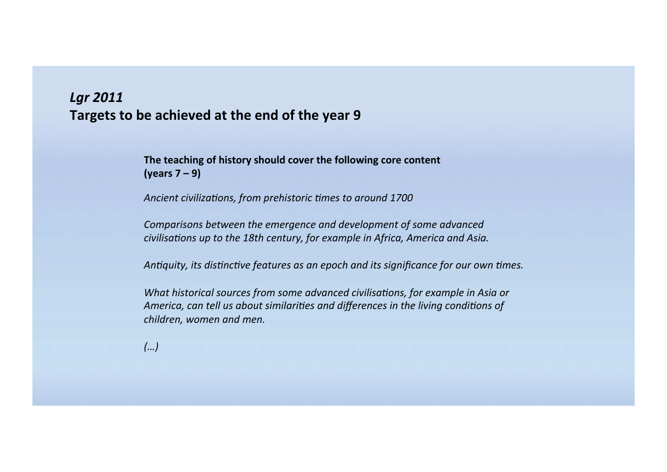#### *Lgr 2011*  Targets to be achieved at the end of the year 9

The teaching of history should cover the following core content **(years 7 – 9)** 

Ancient civilizations, from prehistoric times to around 1700

*Comparisons between the emergence and development of some advanced civilisations* up to the 18th century, for example in Africa, America and Asia.

*Antiquity, its distinctive features as an epoch and its significance for our own times.* 

*What historical sources from some advanced civilisations, for example in Asia or* America, can tell us about similarities and differences in the living conditions of *children, women and men.* 

 $(\ldots)$